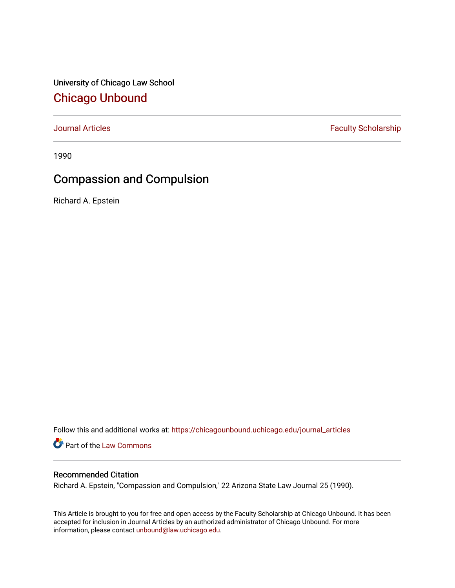University of Chicago Law School [Chicago Unbound](https://chicagounbound.uchicago.edu/)

[Journal Articles](https://chicagounbound.uchicago.edu/journal_articles) **Faculty Scholarship Faculty Scholarship** 

1990

## Compassion and Compulsion

Richard A. Epstein

Follow this and additional works at: [https://chicagounbound.uchicago.edu/journal\\_articles](https://chicagounbound.uchicago.edu/journal_articles?utm_source=chicagounbound.uchicago.edu%2Fjournal_articles%2F1389&utm_medium=PDF&utm_campaign=PDFCoverPages) 

Part of the [Law Commons](http://network.bepress.com/hgg/discipline/578?utm_source=chicagounbound.uchicago.edu%2Fjournal_articles%2F1389&utm_medium=PDF&utm_campaign=PDFCoverPages)

## Recommended Citation

Richard A. Epstein, "Compassion and Compulsion," 22 Arizona State Law Journal 25 (1990).

This Article is brought to you for free and open access by the Faculty Scholarship at Chicago Unbound. It has been accepted for inclusion in Journal Articles by an authorized administrator of Chicago Unbound. For more information, please contact [unbound@law.uchicago.edu](mailto:unbound@law.uchicago.edu).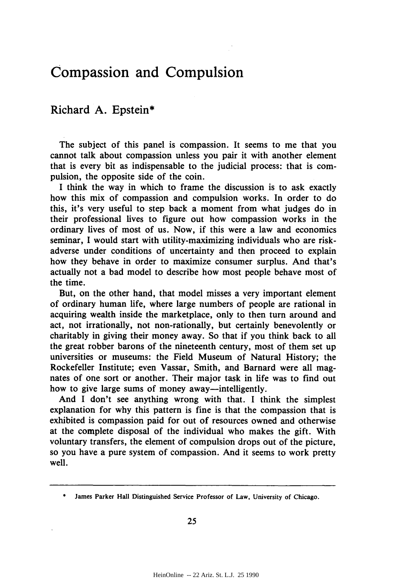## **Compassion and Compulsion**

## Richard **A.** Epstein\*

The subject of this panel is compassion. It seems to me that you cannot talk about compassion unless you pair it with another element that is every bit as indispensable to the judicial process: that is compulsion, the opposite side of the coin.

I think the way in which to frame the discussion is to ask exactly how this mix of compassion and compulsion works. In order to do this, it's very useful to step back a moment from what judges do in their professional lives to figure out how compassion works in the ordinary lives of most of us. Now, if this were a law and economics seminar, I would start with utility-maximizing individuals who are riskadverse under conditions of uncertainty and then proceed to explain how they behave in order to maximize consumer surplus. And that's actually not a bad model to describe how most people behave most of the time.

But, on the other hand, that model misses a very important element of ordinary human life, where large numbers of people are rational in acquiring wealth inside the marketplace, only to then turn around and act, not irrationally, not non-rationally, but certainly benevolently or charitably in giving their money away. So that if you think back to all the great robber barons of the nineteenth century, most of them set up universities or museums: the Field Museum of Natural History; the Rockefeller Institute; even Vassar, Smith, and Barnard were all magnates of one sort or another. Their major task in life was to find out how to give large sums of money away—intelligently.

And I don't see anything wrong with that. I think the simplest explanation for why this pattern is fine is that the compassion that is exhibited is compassion paid for out of resources owned and otherwise at the complete disposal of the individual who makes the gift. With voluntary transfers, the element of compulsion drops out of the picture, so you have a pure system of compassion. And it seems to work pretty well.

James Parker Hall Distinguished Service Professor of Law, University of Chicago.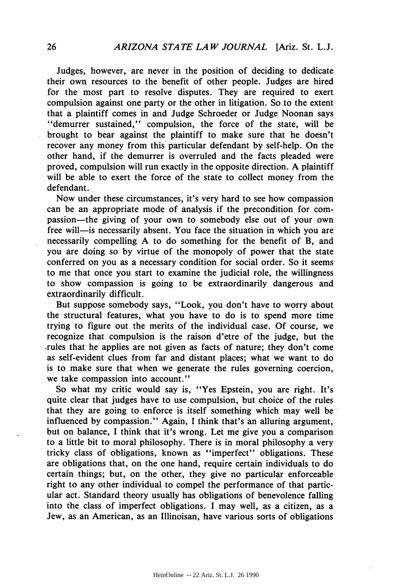Judges, however, are never in the position of deciding to dedicate their own resources to the benefit of other people. Judges are hired for the most part to resolve disputes. They are required to exert compulsion against one party or the other in litigation. So to the extent that a plaintiff comes in and Judge Schroeder or Judge Noonan says "demurrer sustained," compulsion, the force of the state, will be brought to bear against the plaintiff to make sure that he doesn't recover any money from this particular defendant by self-help. On the other hand, if the demurrer is overruled and the facts pleaded were proved, compulsion will run exactly in the opposite direction. A plaintiff will be able to exert the force of the state to collect money from the defendant.

Now under these circumstances, it's very hard to see how compassion can be an appropriate mode of analysis if the precondition for compassion-the giving of your own to somebody else out of your own free will-is necessarily absent. You face the situation in which you are necessarily compelling A to do something for the benefit of B, and you are doing so by virtue of the monopoly of power that the state conferred on you as a necessary condition for social order. So it seems to me that once you start to examine the judicial role, the willingness to show compassion is going to be extraordinarily dangerous and extraordinarily difficult.

But suppose somebody says, "Look, you don't have to worry about the structural features, what you have to do is to spend more time trying to figure out the merits of the individual case. Of course, we recognize that compulsion is the raison d'etre of the judge, but the .rules that he applies are not given as facts of nature; they don't come as self-evident clues from far and distant places; what we want to do is to make sure that when we generate the rules governing coercion, we take compassion into account."

So what my critic would say is, "Yes Epstein, you are right. It's quite clear that judges have to use compulsion, but choice of the rules that they are going to enforce is itself something which may well be influenced by compassion." Again, I think that's an alluring argument, but on balance, I think that it's wrong. Let me give you a comparison to a little bit to moral philosophy. There is in moral philosophy a very tricky class of obligations, known as "imperfect" obligations. These are obligations that, on the one hand, require certain individuals to do certain things; but, on the other, they give no particular enforceable right to any other individual to compel the performance of that particular act. Standard theory usually has obligations of benevolence falling into the class of imperfect obligations. I may well, as a citizen, as a Jew, as an American, as an Illinoisan, have various sorts of obligations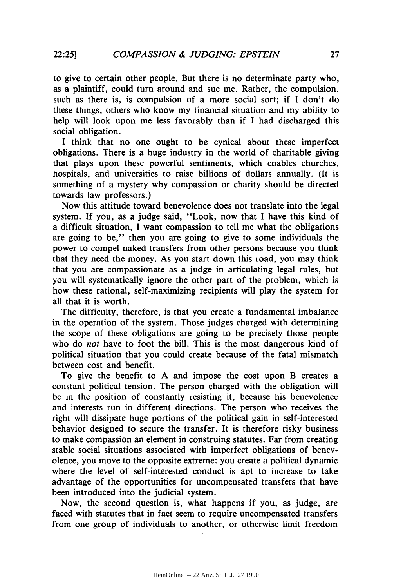to give to certain other people. But there is no determinate party who, as a plaintiff, could turn around and sue me. Rather, the compulsion, such as there is, is compulsion of a more social sort; if I don't do these things, others who know my financial situation and my ability to help will look upon me less favorably than if I had discharged this social obligation.

I think that no one ought to be cynical about these imperfect obligations. There is a huge industry in the world of charitable giving that plays upon these powerful sentiments, which enables churches, hospitals, and universities to raise billions of dollars annually. (It is something of a mystery why compassion or charity should be directed towards law professors.)

Now this attitude toward benevolence does not translate into the legal system. If you, as a judge said, "Look, now that I have this kind of a difficult situation, I want compassion to tell me what the obligations are going to be," then you are going to give to some individuals the power to compel naked transfers from other persons because you think that they need the money. As you start down this road, you may think that you are compassionate as a judge in articulating legal rules, but you will systematically ignore the other part of the problem, which is how these rational, self-maximizing recipients will play the system for all that it is worth.

The difficulty, therefore, is that you create a fundamental imbalance in the operation of the system. Those judges charged with determining the scope of these obligations are going to be precisely those people who do *not* have to foot the bill. This is the most dangerous kind of political situation that you could create because of the fatal mismatch between cost and benefit.

To give the benefit to A and impose the cost upon B creates a constant political tension. The person charged with the obligation will be in the position of constantly resisting it, because his benevolence and interests run in different directions. The person who receives the right will dissipate huge portions of the political gain in self-interested behavior designed to secure the transfer. It is therefore risky business to make compassion an element in construing statutes. Far from creating stable social situations associated with imperfect obligations of benevolence, you move to the opposite extreme: you create a political dynamic where the level of self-interested conduct is apt to increase to take advantage of the opportunities for uncompensated transfers that have been introduced into the judicial system.

Now, the second question is, what happens if you, as judge, are faced with statutes that in fact seem to require uncompensated transfers from one group of individuals to another, or otherwise limit freedom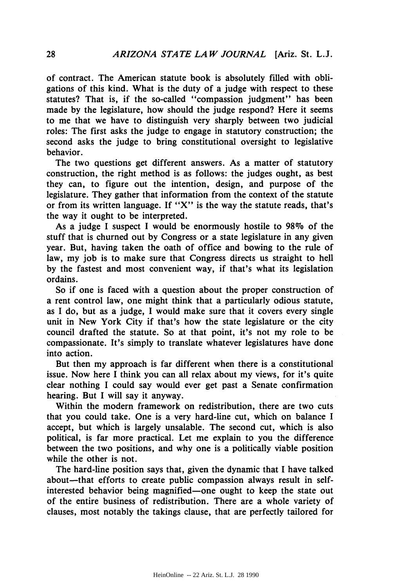of contract. The American statute book is absolutely filled with obligations of this kind. What is the duty of a judge with respect to these statutes? That is, if the so-called "compassion judgment" has been made by the legislature, how should the judge respond? Here it seems to me that we have to distinguish very sharply between two judicial roles: The first asks the judge to engage in statutory construction; the second asks the judge to bring constitutional oversight to legislative behavior.

The two questions get different answers. As a matter of statutory construction, the right method is as follows: the judges ought, as best they can, to figure out the intention, design, and purpose of the legislature. They gather that information from the context of the statute or from its written language. If " $X$ " is the way the statute reads, that's the way it ought to be interpreted.

As a judge I suspect I would be enormously hostile to  $98\%$  of the stuff that is churned out by Congress or a state legislature in any given year. But, having taken the oath of office and bowing to the rule of law, my job is to make sure that Congress directs us straight to hell by the fastest and most convenient way, if that's what its legislation ordains.

So if one is faced with a question about the proper construction of a rent control law, one might think that a particularly odious statute, as I do, but as a judge, I would make sure that it covers every single unit in New York City if that's how the state legislature or the city council drafted the statute. So at that point, it's not my role to be compassionate. It's simply to translate whatever legislatures have done into action.

But then my approach is far different when there is a constitutional issue. Now here I think you can all relax about my views, for it's quite clear nothing I could say would ever get past a Senate confirmation hearing. But I will say it anyway.

Within the modern framework on redistribution, there are two cuts that you could take. One is a very hard-line cut, which on balance I accept, but which is largely unsalable. The second cut, which is also political, is far more practical. Let me explain to you the difference between the two positions, and why one is a politically viable position while the other is not.

The hard-line position says that, given the dynamic that I have talked about-that efforts to create public compassion always result in selfinterested behavior being magnified-one ought to keep the state out of the entire business of redistribution. There are a whole variety of clauses, most notably the takings clause, that are perfectly tailored for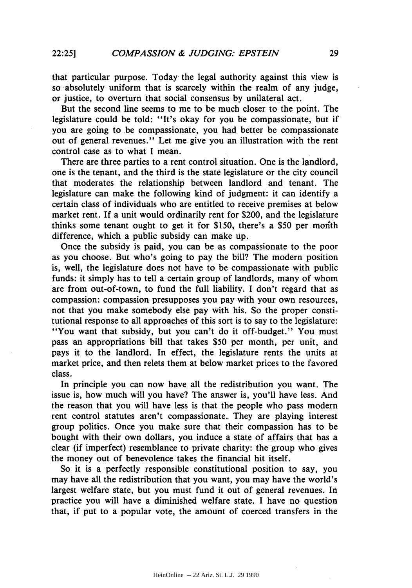that particular purpose. Today the legal authority against this view is so absolutely uniform that is scarcely within the realm of any judge, or justice, to overturn that social consensus by unilateral act.

But the second line seems to me to be much closer to the point. The legislature could be told: "It's okay for you be compassionate, but if you are going to be compassionate, you had better be compassionate out of general revenues." Let me give you an illustration with the rent control case as to what I mean.

There are three parties to a rent control situation. One is the landlord, one is the tenant, and the third is the state legislature or the city council that moderates the relationship between landlord and tenant. The legislature can make the following kind of judgment: it can identify a certain class of individuals who are entitled to receive premises at below market rent. If a unit would ordinarily rent for \$200, and the legislature thinks some tenant ought to get it for \$150, there's a \$50 per month difference, which a public subsidy can make up.

Once the subsidy is paid, you can be as compassionate to the poor as you choose. But who's going to pay the bill? The modern position is, well, the legislature does not have to be compassionate with public funds: it simply has to tell a certain group of landlords, many of whom are from out-of-town, to fund the full liability. I don't regard that as compassion: compassion presupposes you pay with your own resources, not that you make somebody else pay with his. So the proper constitutional response to all approaches of this sort is to say to the legislature: "You want that subsidy, but you can't do it off-budget." You must pass an appropriations bill that takes \$50 per month, per unit, and pays it to the landlord. In effect, the legislature rents the units at market price, and then relets them at below market prices to the favored class.

In principle you can now have all the redistribution you want. The issue is, how much will you have? The answer is, you'll have less. And the reason that you will have less is that the people who pass modern rent control statutes aren't compassionate. They are playing interest group politics. Once you make sure that their compassion has to be bought with their own dollars, you induce a state of affairs that has a clear (if imperfect) resemblance to private charity: the group who gives the money out of benevolence takes the financial hit itself.

So it is a perfectly responsible constitutional position to say, you may have all the redistribution that you want, you may have the world's largest welfare state, but you must fund it out of general revenues. In practice you will have a diminished welfare state. I have no question that, if put to a popular vote, the amount of coerced transfers in the